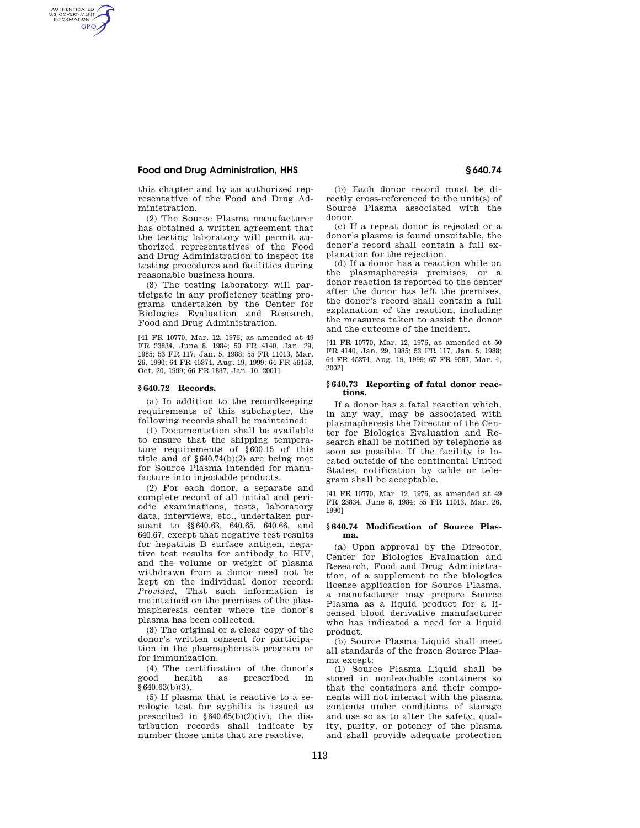# **Food and Drug Administration, HHS § 640.74**

AUTHENTICATED<br>U.S. GOVERNMENT<br>INFORMATION **GPO** 

> this chapter and by an authorized representative of the Food and Drug Administration.

> (2) The Source Plasma manufacturer has obtained a written agreement that the testing laboratory will permit authorized representatives of the Food and Drug Administration to inspect its testing procedures and facilities during reasonable business hours.

> (3) The testing laboratory will participate in any proficiency testing programs undertaken by the Center for Biologics Evaluation and Research, Food and Drug Administration.

> [41 FR 10770, Mar. 12, 1976, as amended at 49 FR 23834, June 8, 1984; 50 FR 4140, Jan. 29, 1985; 53 FR 117, Jan. 5, 1988; 55 FR 11013, Mar. 26, 1990; 64 FR 45374, Aug. 19, 1999; 64 FR 56453, Oct. 20, 1999; 66 FR 1837, Jan. 10, 2001]

### **§ 640.72 Records.**

(a) In addition to the recordkeeping requirements of this subchapter, the following records shall be maintained:

(1) Documentation shall be available to ensure that the shipping temperature requirements of §600.15 of this title and of §640.74(b)(2) are being met for Source Plasma intended for manufacture into injectable products.

(2) For each donor, a separate and complete record of all initial and periodic examinations, tests, laboratory data, interviews, etc., undertaken pursuant to §§640.63, 640.65, 640.66, and 640.67, except that negative test results for hepatitis B surface antigen, negative test results for antibody to HIV, and the volume or weight of plasma withdrawn from a donor need not be kept on the individual donor record: *Provided,* That such information is maintained on the premises of the plasmapheresis center where the donor's plasma has been collected.

(3) The original or a clear copy of the donor's written consent for participation in the plasmapheresis program or for immunization.

(4) The certification of the donor's good health as prescribed in  $§640.63(b)(3)$ .

(5) If plasma that is reactive to a serologic test for syphilis is issued as prescribed in  $§640.65(b)(2)(iv)$ , the distribution records shall indicate by number those units that are reactive.

(b) Each donor record must be directly cross-referenced to the unit(s) of Source Plasma associated with the donor.

(c) If a repeat donor is rejected or a donor's plasma is found unsuitable, the donor's record shall contain a full explanation for the rejection.

(d) If a donor has a reaction while on the plasmapheresis premises, or a donor reaction is reported to the center after the donor has left the premises, the donor's record shall contain a full explanation of the reaction, including the measures taken to assist the donor and the outcome of the incident.

[41 FR 10770, Mar. 12, 1976, as amended at 50 FR 4140, Jan. 29, 1985; 53 FR 117, Jan. 5, 1988; 64 FR 45374, Aug. 19, 1999; 67 FR 9587, Mar. 4, 2002]

## **§ 640.73 Reporting of fatal donor reactions.**

If a donor has a fatal reaction which, in any way, may be associated with plasmapheresis the Director of the Center for Biologics Evaluation and Research shall be notified by telephone as soon as possible. If the facility is located outside of the continental United States, notification by cable or telegram shall be acceptable.

[41 FR 10770, Mar. 12, 1976, as amended at 49 FR 23834, June 8, 1984; 55 FR 11013, Mar. 26, 1990]

## **§ 640.74 Modification of Source Plasma.**

(a) Upon approval by the Director, Center for Biologics Evaluation and Research, Food and Drug Administration, of a supplement to the biologics license application for Source Plasma, a manufacturer may prepare Source Plasma as a liquid product for a licensed blood derivative manufacturer who has indicated a need for a liquid product.

(b) Source Plasma Liquid shall meet all standards of the frozen Source Plasma except:

(1) Source Plasma Liquid shall be stored in nonleachable containers so that the containers and their components will not interact with the plasma contents under conditions of storage and use so as to alter the safety, quality, purity, or potency of the plasma and shall provide adequate protection